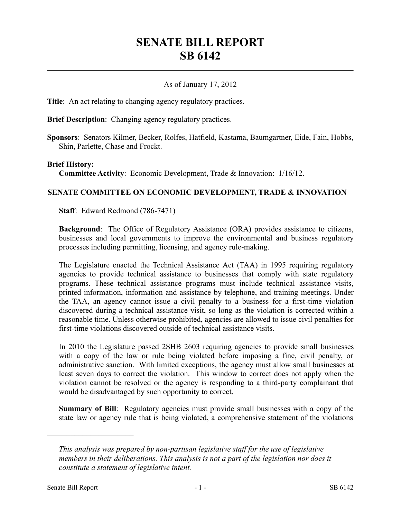# **SENATE BILL REPORT SB 6142**

## As of January 17, 2012

**Title**: An act relating to changing agency regulatory practices.

**Brief Description**: Changing agency regulatory practices.

**Sponsors**: Senators Kilmer, Becker, Rolfes, Hatfield, Kastama, Baumgartner, Eide, Fain, Hobbs, Shin, Parlette, Chase and Frockt.

#### **Brief History:**

**Committee Activity**: Economic Development, Trade & Innovation: 1/16/12.

### **SENATE COMMITTEE ON ECONOMIC DEVELOPMENT, TRADE & INNOVATION**

**Staff**: Edward Redmond (786-7471)

**Background**: The Office of Regulatory Assistance (ORA) provides assistance to citizens, businesses and local governments to improve the environmental and business regulatory processes including permitting, licensing, and agency rule-making.

The Legislature enacted the Technical Assistance Act (TAA) in 1995 requiring regulatory agencies to provide technical assistance to businesses that comply with state regulatory programs. These technical assistance programs must include technical assistance visits, printed information, information and assistance by telephone, and training meetings. Under the TAA, an agency cannot issue a civil penalty to a business for a first-time violation discovered during a technical assistance visit, so long as the violation is corrected within a reasonable time. Unless otherwise prohibited, agencies are allowed to issue civil penalties for first-time violations discovered outside of technical assistance visits.

In 2010 the Legislature passed 2SHB 2603 requiring agencies to provide small businesses with a copy of the law or rule being violated before imposing a fine, civil penalty, or administrative sanction. With limited exceptions, the agency must allow small businesses at least seven days to correct the violation. This window to correct does not apply when the violation cannot be resolved or the agency is responding to a third-party complainant that would be disadvantaged by such opportunity to correct.

**Summary of Bill**: Regulatory agencies must provide small businesses with a copy of the state law or agency rule that is being violated, a comprehensive statement of the violations

––––––––––––––––––––––

*This analysis was prepared by non-partisan legislative staff for the use of legislative members in their deliberations. This analysis is not a part of the legislation nor does it constitute a statement of legislative intent.*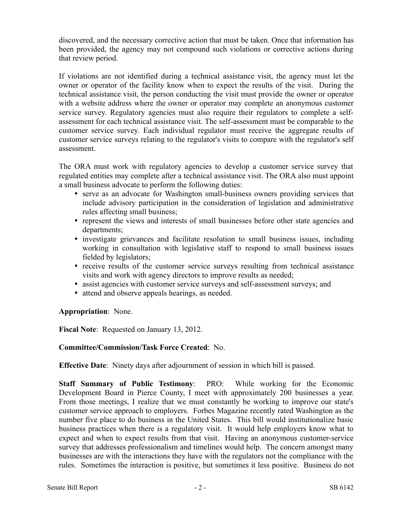discovered, and the necessary corrective action that must be taken. Once that information has been provided, the agency may not compound such violations or corrective actions during that review period.

If violations are not identified during a technical assistance visit, the agency must let the owner or operator of the facility know when to expect the results of the visit. During the technical assistance visit, the person conducting the visit must provide the owner or operator with a website address where the owner or operator may complete an anonymous customer service survey. Regulatory agencies must also require their regulators to complete a selfassessment for each technical assistance visit. The self-assessment must be comparable to the customer service survey. Each individual regulator must receive the aggregate results of customer service surveys relating to the regulator's visits to compare with the regulator's self assessment.

The ORA must work with regulatory agencies to develop a customer service survey that regulated entities may complete after a technical assistance visit. The ORA also must appoint a small business advocate to perform the following duties:

- serve as an advocate for Washington small-business owners providing services that include advisory participation in the consideration of legislation and administrative rules affecting small business;
- represent the views and interests of small businesses before other state agencies and departments;
- investigate grievances and facilitate resolution to small business issues, including working in consultation with legislative staff to respond to small business issues fielded by legislators;
- receive results of the customer service surveys resulting from technical assistance visits and work with agency directors to improve results as needed;
- assist agencies with customer service surveys and self-assessment surveys; and
- attend and observe appeals hearings, as needed.

## **Appropriation**: None.

**Fiscal Note**: Requested on January 13, 2012.

## **Committee/Commission/Task Force Created**: No.

**Effective Date**: Ninety days after adjournment of session in which bill is passed.

**Staff Summary of Public Testimony**: PRO: While working for the Economic Development Board in Pierce County, I meet with approximately 200 businesses a year. From those meetings, I realize that we must constantly be working to improve our state's customer service approach to employers. Forbes Magazine recently rated Washington as the number five place to do business in the United States. This bill would institutionalize basic business practices when there is a regulatory visit. It would help employers know what to expect and when to expect results from that visit. Having an anonymous customer-service survey that addresses professionalism and timelines would help. The concern amongst many businesses are with the interactions they have with the regulators not the compliance with the rules. Sometimes the interaction is positive, but sometimes it less positive. Business do not